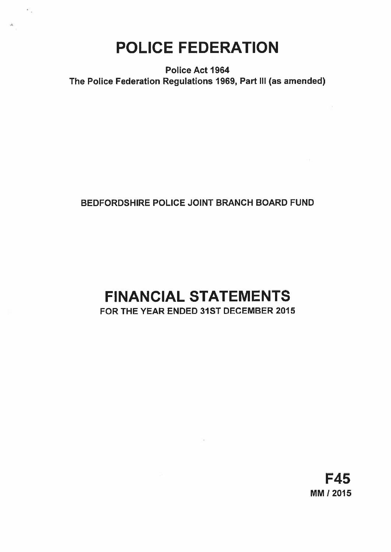# POLICE FEDERATION

×.

Police Act 1964 The Police Federation Regulations 1969, Part Ill (as amended)

# BEDFORDSHIRE POLICE JOINT BRANCH BOARD FUND

# FINANCIAL STATEMENTS FOR THE YEAR ENDED 31ST DECEMBER 2015

# F45 MM I 2015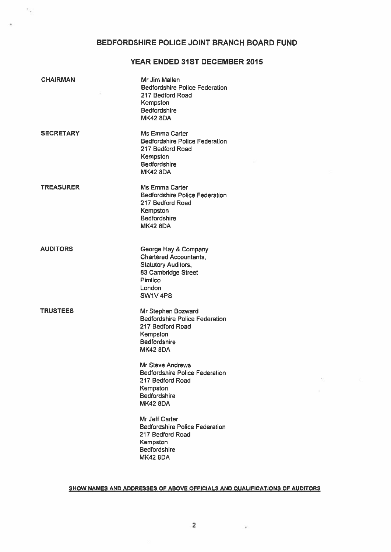# BEDFORDSHIRE POLICE JOINT BRANCH BOARD FUND

 $\mathcal{F}_{\mathcal{A}}$ 

# YEAR ENDED 31ST DECEMBER 2015

| <b>CHAIRMAN</b>  | Mr Jim Mallen<br><b>Bedfordshire Police Federation</b><br>217 Bedford Road<br>Kempston<br><b>Bedfordshire</b><br><b>MK42 8DA</b>                       |
|------------------|--------------------------------------------------------------------------------------------------------------------------------------------------------|
| <b>SECRETARY</b> | Ms Emma Carter<br><b>Bedfordshire Police Federation</b><br>217 Bedford Road<br>Kempston<br><b>Bedfordshire</b><br><b>MK42 8DA</b>                      |
| <b>TREASURER</b> | Ms Emma Carter<br><b>Bedfordshire Police Federation</b><br>217 Bedford Road<br>Kempston<br>Bedfordshire<br><b>MK42 8DA</b>                             |
| <b>AUDITORS</b>  | George Hay & Company<br><b>Chartered Accountants,</b><br><b>Statutory Auditors,</b><br>83 Cambridge Street<br>Pimlico<br>London<br>SW1V <sub>4PS</sub> |
| <b>TRUSTEES</b>  | Mr Stephen Bozward<br><b>Bedfordshire Police Federation</b><br>217 Bedford Road<br>Kempston<br><b>Bedfordshire</b><br><b>MK42 8DA</b>                  |
|                  | Mr Steve Andrews<br><b>Bedfordshire Police Federation</b><br>217 Bedford Road<br>Kempston<br>Bedfordshire<br><b>MK42 8DA</b>                           |
|                  | Mr Jeff Carter<br><b>Bedfordshire Police Federation</b><br>217 Bedford Road<br>Kempston<br><b>Bedfordshire</b><br><b>MK42 8DA</b>                      |

## SHOW NAMES AND ADDRESSES OF ABOVE OFFICIALS AND QUALIFICATIONS OF AUDITORS

 $\sim$ 

 $\bar{\nu}$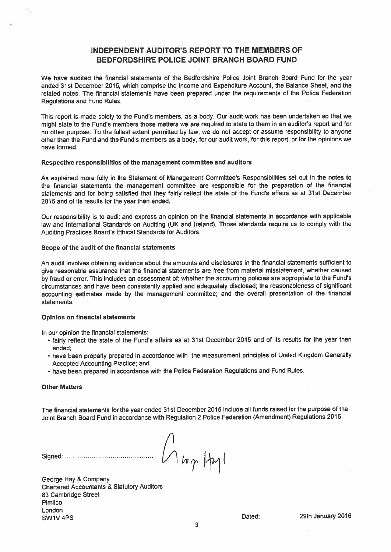## INDEPENDENT AUDITOR'S REPORT TO THE MEMBERS OF BEDFORDSHIRE POLICE JOINT BRANCH BOARD FUND

We have audited the financial statements of the Bedfordshire Police Joint Branch Board Fund for the year ended 31st December 2015, which comprise the Income and Expenditure Account, the Balance Sheet, and the related notes. The financial statements have been prepared under the requirements of the Police Federation Regulations and Fund Rules.

This repor<sup>t</sup> is made solely to the Fund's members, as <sup>a</sup> body. Our audit work has been undertaken so that we might state to the Fund's members those matters we are required to state to them in an auditor's repor<sup>t</sup> and for no other purpose. To the fullest extent permitted by law, we do not accep<sup>t</sup> or assume responsibility to anyone other than the Fund and the Fund's members as <sup>a</sup> body, for our audit work, for this report, or for the opinions we have formed.

## Respective responsibilities of the managemen<sup>t</sup> committee and auditors

As explained more fully in the Statement of Management Committee's Responsibilities set out in the notes to the financial statements the managemen<sup>t</sup> committee are responsible for the preparation of the financial statements and for being satisfied that they fairly reflect the state of the Fund's affairs as at 31st December 2015 and of its results for the year then ended.

Our responsibility is to audit and express an opinion on the financial statements in accordance with applicable law and International Standards on Auditing (UK and Ireland). Those standards require us to comply with the Auditing Practices Board's Ethical Standards for Auditors.

## Scope of the audit of the financial statements

An audit involves obtaining evidence about the amounts and disclosures in the financial statements sufficient to <sup>g</sup>ive reasonable assurance that the financial statements are free from material misstatement, whether caused by fraud or error. This includes an assessment of: whether the accounting policies are appropriate to the Fund's circumstances and have been consistently applied and adequately disclosed; the reasonableness of significant accounting estimates made by the managemen<sup>t</sup> committee; and the overall presentation of the financial statements.

#### Opinion on financial statements

In our opinion the financial statements:

- fairly reflect the state of the Fund's affairs as at 31st December <sup>2015</sup> and of its results for the year then ended;
- have been properly prepare<sup>d</sup> in accordance with the measurement principles of United Kingdom Generally Accepted Accounting Practice; and
- have been prepare<sup>d</sup> in accordance with the Police Federation Regulations and Fund Rules.

#### Other Matters

The financial statements for the year ended 31st December <sup>2015</sup> include all funds raised for the purpose of the Joint Branch Board Fund in accordance with Regulation <sup>2</sup> Police Federation (Amendment) Regulations 2015.

 $\bigwedge^1$  borg  $|\psi|$ Signed: ... ... ... ... ... ... ... ...

George Hay & Company Chartered Accountants & Statutory Auditors 83 Cambridge Street Pimlico London SW1V 4PS **Dated:** 29th January 2016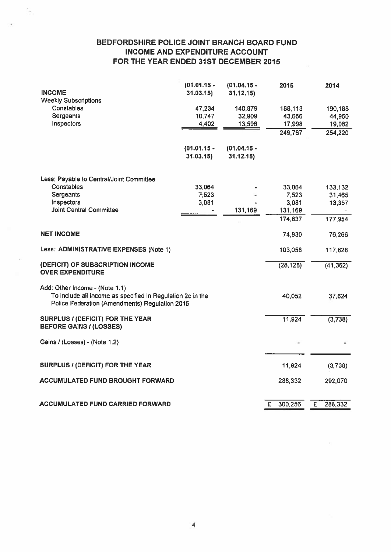# BEDFORDSHIRE POLICE JOINT BRANCH BOARD FUND INCOME AND EXPENDITURE ACCOUNT FOR THE YEAR ENDED 31ST DECEMBER 2015

đ.

| <b>INCOME</b>                                                                                                                                  | $(01.01.15 -$<br>31.03.15 | $(01.04.15 -$<br>31.12.15 | 2015         | 2014         |
|------------------------------------------------------------------------------------------------------------------------------------------------|---------------------------|---------------------------|--------------|--------------|
| <b>Weekly Subscriptions</b>                                                                                                                    |                           |                           |              |              |
| Constables                                                                                                                                     | 47,234                    | 140,879                   | 188,113      | 190,188      |
| Sergeants                                                                                                                                      | 10,747                    | 32,909                    | 43,656       | 44,950       |
| Inspectors                                                                                                                                     | 4,402                     | 13,596                    | 17,998       | 19,082       |
|                                                                                                                                                |                           |                           | 249,767      | 254,220      |
|                                                                                                                                                | $(01.01.15 -$             | $(01.04.15 -$             |              |              |
|                                                                                                                                                | 31.03.15                  | 31.12.15                  |              |              |
| Less: Payable to Central/Joint Committee                                                                                                       |                           |                           |              |              |
| Constables                                                                                                                                     | 33,064                    |                           | 33,064       | 133,132      |
| Sergeants                                                                                                                                      | 7,523                     |                           | 7,523        | 31,465       |
| Inspectors                                                                                                                                     | 3,081                     |                           | 3,081        | 13,357       |
| <b>Joint Central Committee</b>                                                                                                                 |                           | 131,169                   | 131,169      |              |
|                                                                                                                                                |                           |                           | 174,837      | 177,954      |
| <b>NET INCOME</b>                                                                                                                              |                           |                           | 74,930       | 76,266       |
| Less: ADMINISTRATIVE EXPENSES (Note 1)                                                                                                         |                           |                           | 103,058      | 117,628      |
| (DEFICIT) OF SUBSCRIPTION INCOME<br><b>OVER EXPENDITURE</b>                                                                                    |                           |                           | (28, 128)    | (41, 362)    |
| Add: Other Income - (Note 1.1)<br>To include all income as specified in Regulation 2c in the<br>Police Federation (Amendments) Regulation 2015 |                           |                           | 40,052       | 37,624       |
| SURPLUS / (DEFICIT) FOR THE YEAR<br><b>BEFORE GAINS / (LOSSES)</b>                                                                             |                           |                           | 11,924       | (3,738)      |
| Gains / (Losses) - (Note 1.2)                                                                                                                  |                           |                           |              |              |
| SURPLUS / (DEFICIT) FOR THE YEAR                                                                                                               |                           |                           | 11,924       | (3,738)      |
| <b>ACCUMULATED FUND BROUGHT FORWARD</b>                                                                                                        |                           |                           | 288,332      | 292,070      |
| <b>ACCUMULATED FUND CARRIED FORWARD</b>                                                                                                        |                           |                           | £<br>300,256 | £<br>288,332 |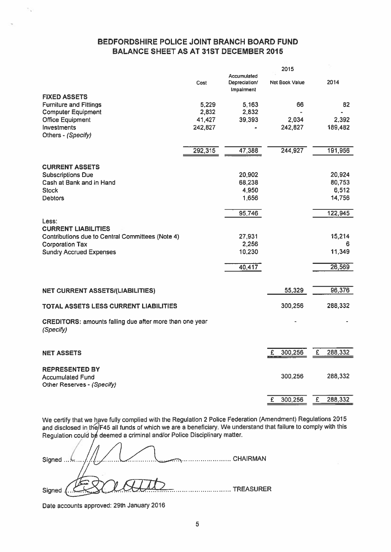# BEDFORDSHIRE POLICE JOINT BRANCH BOARD FUND BALANCE SHEET AS AT 31ST DECEMBER 2015

|                                                                             |         |                                            | 2015           |   |         |
|-----------------------------------------------------------------------------|---------|--------------------------------------------|----------------|---|---------|
|                                                                             | Cost    | Accumulated<br>Depreciation/<br>Impairment | Net Book Value |   | 2014    |
| <b>FIXED ASSETS</b>                                                         |         |                                            |                |   |         |
| <b>Furniture and Fittings</b>                                               | 5,229   | 5,163                                      | 66             |   | 82      |
| <b>Computer Equipment</b>                                                   | 2,832   | 2,832                                      |                |   |         |
| <b>Office Equipment</b>                                                     | 41,427  | 39,393                                     | 2,034          |   | 2,392   |
| Investments<br>Others - (Specify)                                           | 242,827 |                                            | 242,827        |   | 189,482 |
|                                                                             | 292,315 | 47,388                                     | 244,927        |   | 191,956 |
|                                                                             |         |                                            |                |   |         |
| <b>CURRENT ASSETS</b>                                                       |         |                                            |                |   |         |
| <b>Subscriptions Due</b>                                                    |         | 20,902                                     |                |   | 20,924  |
| Cash at Bank and in Hand                                                    |         | 68,238                                     |                |   | 80,753  |
| <b>Stock</b>                                                                |         | 4,950                                      |                |   | 6,512   |
| <b>Debtors</b>                                                              |         | 1,656                                      |                |   | 14,756  |
|                                                                             |         | 95,746                                     |                |   | 122,945 |
| Less:                                                                       |         |                                            |                |   |         |
| <b>CURRENT LIABILITIES</b>                                                  |         |                                            |                |   |         |
| Contributions due to Central Committees (Note 4)                            |         | 27,931                                     |                |   | 15,214  |
| <b>Corporation Tax</b>                                                      |         | 2,256                                      |                |   |         |
| <b>Sundry Accrued Expenses</b>                                              |         | 10,230                                     |                |   | 11,349  |
|                                                                             |         | 40,417                                     |                |   | 26,569  |
|                                                                             |         |                                            |                |   |         |
| <b>NET CURRENT ASSETS/(LIABILITIES)</b>                                     |         |                                            | 55,329         |   | 96,376  |
| TOTAL ASSETS LESS CURRENT LIABILITIES                                       |         |                                            | 300,256        |   | 288,332 |
| <b>CREDITORS: amounts falling due after more than one year</b><br>(Specify) |         |                                            |                |   |         |
|                                                                             |         |                                            |                |   |         |
| <b>NET ASSETS</b>                                                           |         |                                            | 300,256<br>£   | £ | 288,332 |
|                                                                             |         |                                            |                |   |         |
| <b>REPRESENTED BY</b>                                                       |         |                                            |                |   |         |
| <b>Accumulated Fund</b>                                                     |         |                                            | 300,256        |   | 288,332 |
| Other Reserves - (Specify)                                                  |         |                                            |                |   |         |
|                                                                             |         |                                            | 300,256<br>£   | £ | 288,332 |

We certify that we have fully complied with the Regulation <sup>2</sup> Police Federation (Amendment) Regulations <sup>2015</sup> and disclosed in the F45 all funds of which we are a beneficiary. We understand that failure to comply with this Regulation could be deemed a criminal and/or Police Disciplinary matter.

Signed.... Signed. ................. CHAIRMAN ................... TREASURER

Date accounts approved: 29th January 2016

t.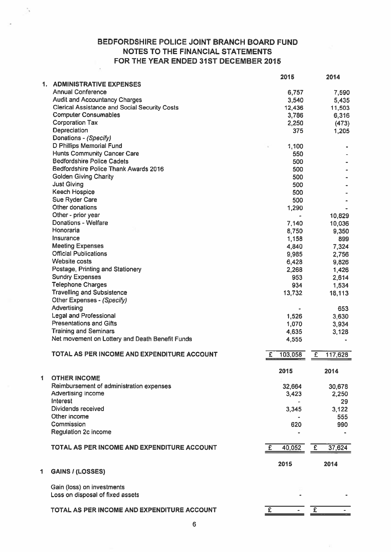# BEDFORDSHIRE POLICE JOINT BRANCH BOARD FUND NOTES TO THE FINANCIAL STATEMENTS FOR THE YEAR ENDED 31ST DECEMBER 2015

٠,

|   |                                                      | 2015           | 2014                    |
|---|------------------------------------------------------|----------------|-------------------------|
|   | 1. ADMINISTRATIVE EXPENSES                           |                |                         |
|   | <b>Annual Conference</b>                             | 6,757          | 7,590                   |
|   | <b>Audit and Accountancy Charges</b>                 | 3,540          | 5,435                   |
|   | <b>Clerical Assistance and Social Security Costs</b> | 12,436         | 11,503                  |
|   | <b>Computer Consumables</b>                          | 3,786          | 6,316                   |
|   | <b>Corporation Tax</b>                               | 2,250          | (473)                   |
|   | Depreciation                                         | 375            | 1,205                   |
|   | Donations - (Specify)                                |                |                         |
|   | D Phillips Memorial Fund                             | 1,100          |                         |
|   | <b>Hunts Community Cancer Care</b>                   | 550            |                         |
|   | <b>Bedfordshire Police Cadets</b>                    | 500            |                         |
|   | Bedfordshire Police Thank Awards 2016                | 500            |                         |
|   | <b>Golden Giving Charity</b>                         | 500            |                         |
|   | <b>Just Giving</b>                                   | 500            |                         |
|   | <b>Keech Hospice</b>                                 | 500            |                         |
|   | Sue Ryder Care                                       |                |                         |
|   | Other donations                                      | 500            |                         |
|   | Other - prior year                                   | 1,290          |                         |
|   | Donations - Welfare                                  |                | 10,829                  |
|   |                                                      | 7,140          | 10,036                  |
|   | Honoraria                                            | 8,750          | 9,350                   |
|   | Insurance                                            | 1,158          | 899                     |
|   | <b>Meeting Expenses</b>                              | 4,840          | 7,324                   |
|   | <b>Official Publications</b>                         | 9,985          | 2,756                   |
|   | Website costs                                        | 6,428          | 9,826                   |
|   | Postage, Printing and Stationery                     | 2,268          | 1,426                   |
|   | <b>Sundry Expenses</b>                               | 953            | 2,614                   |
|   | <b>Telephone Charges</b>                             | 934            | 1,534                   |
|   | <b>Travelling and Subsistence</b>                    | 13,732         | 18,113                  |
|   | Other Expenses - (Specify)                           |                |                         |
|   | Advertising                                          |                | 653                     |
|   | <b>Legal and Professional</b>                        | 1,526          | 3,630                   |
|   | <b>Presentations and Gifts</b>                       | 1,070          | 3,934                   |
|   | <b>Training and Seminars</b>                         | 4,635          | 3,128                   |
|   | Net movement on Lottery and Death Benefit Funds      | 4,555          |                         |
|   |                                                      |                |                         |
|   | TOTAL AS PER INCOME AND EXPENDITURE ACCOUNT          | 103,058<br>£   | £<br>117,628            |
|   |                                                      | 2015           | 2014                    |
| 1 | <b>OTHER INCOME</b>                                  |                |                         |
|   | Reimbursement of administration expenses             | 32,664         | 30,678                  |
|   | <b>Advertising income</b>                            | 3,423          | 2,250                   |
|   | <b>Interest</b>                                      |                | 29                      |
|   | Dividends received                                   | 3,345          | 3,122                   |
|   | Other income                                         |                | 555                     |
|   | Commission                                           | 620            | 990                     |
|   | Regulation 2c income                                 |                |                         |
|   | TOTAL AS PER INCOME AND EXPENDITURE ACCOUNT          | 40,052<br>£    | 37,624<br>E             |
|   |                                                      |                |                         |
|   |                                                      | 2015           | 2014                    |
| 1 | <b>GAINS / (LOSSES)</b>                              |                |                         |
|   | Gain (loss) on investments                           |                |                         |
|   | Loss on disposal of fixed assets                     |                |                         |
|   | TOTAL AS PER INCOME AND EXPENDITURE ACCOUNT          | $\overline{E}$ | $\overline{\mathbf{E}}$ |
|   |                                                      |                |                         |

Ÿ.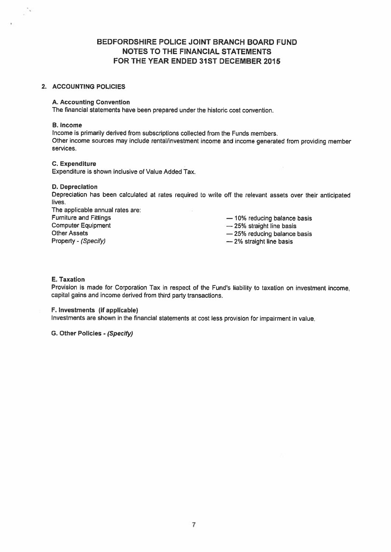# BEDFORDSHIRE POLICE JOINT BRANCH BOARD FUND NOTES TO THE FINANCIAL STATEMENTS FOR THE YEAR ENDED 31ST DECEMBER 2015

## 2. ACCOUNTING POLICIES

#### A. Accounting Convention

The financial statements have been prepared under the historic cost convention.

## B. Income

-2

Income is primarily derived from subscriptions collected from the Funds members. Other income sources may include rental/investment income and income generated from providing member services.

## C. Expenditure

Expenditure is shown inclusive of Value Added Tax.

## 0. Depreciation

Depreciation has been calculated at rates required to write off the relevant assets over their anticipated lives.

| The applicable annual rates are: |                             |
|----------------------------------|-----------------------------|
| <b>Furniture and Fittings</b>    | -10% reducing balance basis |
| <b>Computer Equipment</b>        | $-25%$ straight line basis  |
| <b>Other Assets</b>              | -25% reducing balance basis |
| Property - (Specify)             | $-2\%$ straight line basis  |

## E. Taxation

Provision is made for Corporation Tax in respect of the Fund's liability to taxation on investment income, capital gains and income derived from third party transactions.

#### F. Investments (if applicable)

Investments are shown in the financial statements at cost less provision for impairment in value.

G. Other Policies - (Specify)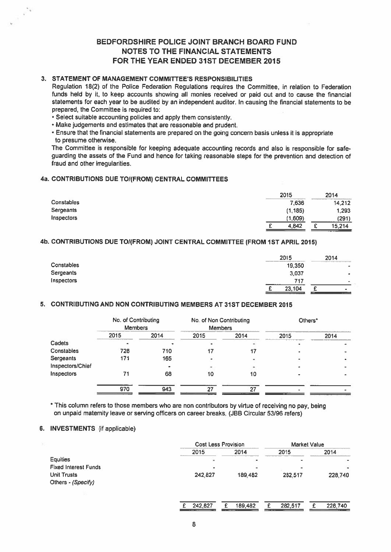# BEOFORDSHIRE POLICE JOINT BRANCH BOARD FUND NOTES TO THE FINANCIAL STATEMENTS FOR THE YEAR ENDED 31ST DECEMBER 2015

## 3. STATEMENT OF MANAGEMENT COMMITTEE'S RESPONSIBILITIES

Regulation 18(2) of the Police Federation Regulations requires the Committee, in relation to Federation funds held by it, to keep accounts showing all monies received or paid out and to cause the financial statements for each year to be audited by an independent auditor. In causing the financial statements to be prepared, the Committee is required to:

- Select suitable accounting policies and apply them consistently.
- Make judgements and estimates that are reasonable and prudent.

• Ensure that the financial statements are prepared on the going concern basis unless it is appropriate to presume otherwise.

The Committee is responsible for keeping adequate accounting records and also is responsible for safe guarding the assets of the Fund and hence for taking reasonable steps for the prevention and detection of fraud and other irregularities.

## 4a. CONTRIBUTIONS DUE TO/(FROM) CENTRAL COMMITTEES

|         |                                     | 2014   |
|---------|-------------------------------------|--------|
|         |                                     | 14,212 |
|         |                                     | 1,293  |
| (1,609) |                                     | (291)  |
| 4,842   | ◠                                   | 15,214 |
|         | 2015<br>------<br>7,636<br>(1, 185) |        |

## 4b. CONTRIBUTIONS DUE TO/(FROM) JOINT CENTRAL COMMITTEE (FROM 1ST APRIL 2015)

|                  | 2015   | 2014      |
|------------------|--------|-----------|
| Constables       | 19,350 | $\bullet$ |
| <b>Sergeants</b> | 3,037  | ٠         |
| Inspectors       | 717    | -         |
|                  | 23,104 | ∽<br>۰    |

## 5. CONTRIBUTING AND NON CONTRIBUTING MEMBERS AT 31ST DECEMBER 2015

|                  | No. of Contributing<br><b>Members</b> |      | No. of Non Contributing<br><b>Members</b> |      | Others* |      |
|------------------|---------------------------------------|------|-------------------------------------------|------|---------|------|
|                  | 2015                                  | 2014 | 2015                                      | 2014 | 2015    | 2014 |
| Cadets           |                                       |      |                                           |      |         |      |
| Constables       | 728                                   | 710  |                                           |      |         |      |
| Sergeants        | 171                                   | 165  |                                           | ۰    |         |      |
| Inspectors/Chief |                                       |      |                                           |      |         |      |
| Inspectors       | 71                                    | 68   | 10                                        | 10   |         |      |
|                  | 970                                   | 943  | 27                                        | 27   |         |      |

\* This column refers to those members who are non contributors by virtue of receiving no pay, being on unpaid maternity leave or serving officers on career breaks. (J6B Circular 53/96 refers)

## 6. INVESTMENTS (if applicable)

|                             | <b>Cost Less Provision</b> |         | <b>Market Value</b> |         |
|-----------------------------|----------------------------|---------|---------------------|---------|
|                             | 2015                       | 2014    | 2015                | 2014    |
| <b>Equities</b>             | ۰                          |         |                     |         |
| <b>Fixed Interest Funds</b> |                            |         |                     |         |
| <b>Unit Trusts</b>          | 242.827                    | 189.482 | 282.517             | 228,740 |
| Others - (Specify)          |                            |         |                     |         |
|                             |                            |         |                     |         |
|                             | 242.827                    | 189,482 | 282.517             | 228.740 |